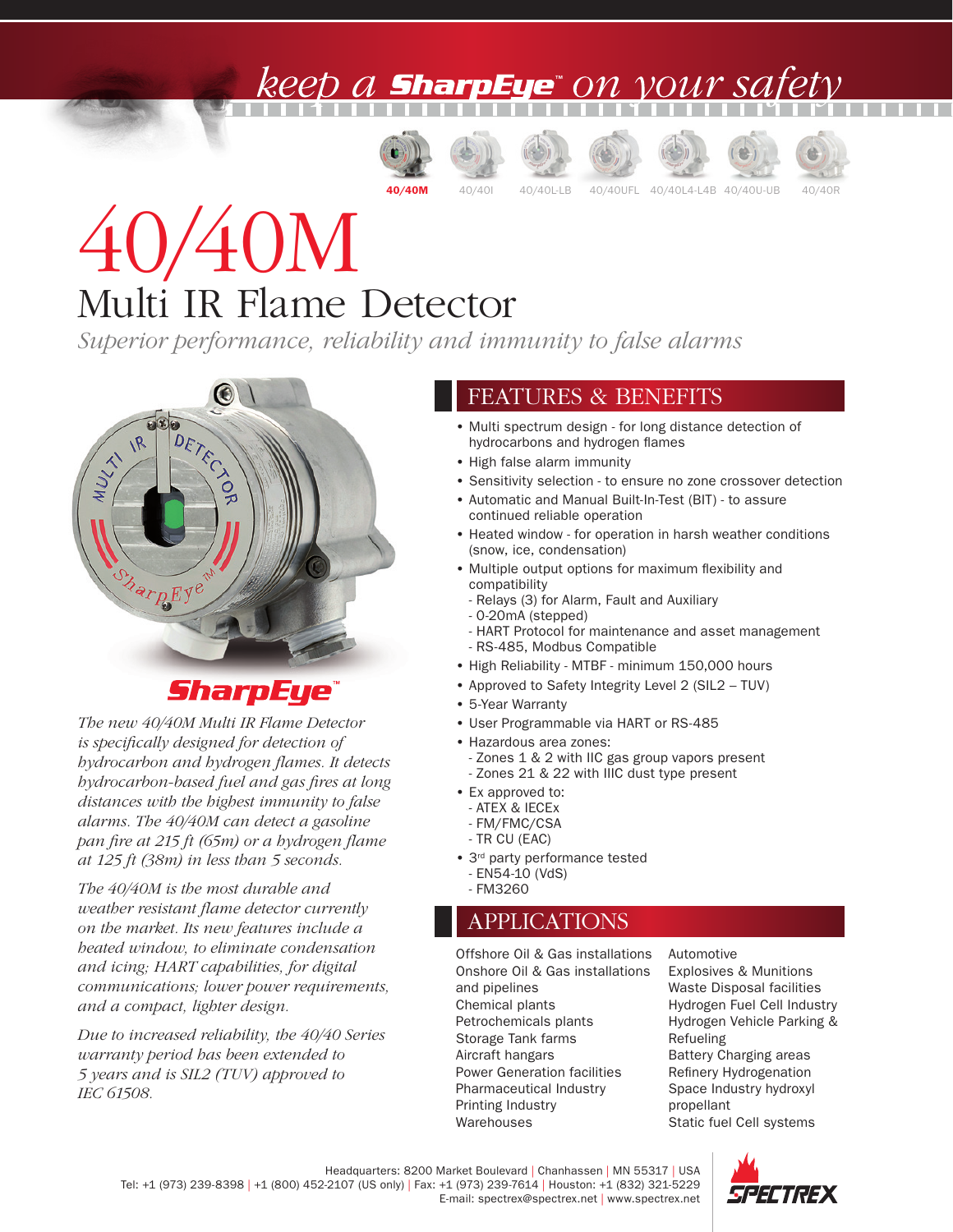### ) A **SharpEye**" ON VOUY SA













# 40/40M Multi IR Flame Detector

*Superior performance, reliability and immunity to false alarms*



### **SharpEye**

*The new 40/40M Multi IR Flame Detector is specifically designed for detection of hydrocarbon and hydrogen flames. It detects hydrocarbon-based fuel and gas fires at long distances with the highest immunity to false alarms. The 40/40M can detect a gasoline pan fire at 215 ft (65m) or a hydrogen flame at 125 ft (38m) in less than 5 seconds.*

*The 40/40M is the most durable and weather resistant flame detector currently on the market. Its new features include a heated window, to eliminate condensation and icing; HART capabilities, for digital communications; lower power requirements, and a compact, lighter design.* 

*Due to increased reliability, the 40/40 Series warranty period has been extended to 5 years and is SIL2 (TUV) approved to IEC 61508.*

#### FEATURES & BENEFITS

- Multi spectrum design for long distance detection of hydrocarbons and hydrogen flames
- High false alarm immunity
- Sensitivity selection to ensure no zone crossover detection
- Automatic and Manual Built-In-Test (BIT) to assure continued reliable operation
- Heated window for operation in harsh weather conditions (snow, ice, condensation)
- Multiple output options for maximum flexibility and compatibility
	- Relays (3) for Alarm, Fault and Auxiliary
	- 0-20mA (stepped)
	- HART Protocol for maintenance and asset management - RS-485, Modbus Compatible
- High Reliability MTBF minimum 150,000 hours
- Approved to Safety Integrity Level 2 (SIL2 TUV)
- 5-Year Warranty
- User Programmable via HART or RS-485
- Hazardous area zones:
	- Zones 1 & 2 with IIC gas group vapors present - Zones 21 & 22 with IIIC dust type present
- Ex approved to:
	- ATEX & IECEx
- FM/FMC/CSA - TR CU (EAC)
- 3<sup>rd</sup> party performance tested
	- EN54-10 (VdS)
	- FM3260

#### APPLICATIONS

Offshore Oil & Gas installations Onshore Oil & Gas installations and pipelines Chemical plants Petrochemicals plants Storage Tank farms Aircraft hangars Power Generation facilities Pharmaceutical Industry Printing Industry Warehouses

Automotive Explosives & Munitions Waste Disposal facilities Hydrogen Fuel Cell Industry Hydrogen Vehicle Parking & Refueling Battery Charging areas Refinery Hydrogenation Space Industry hydroxyl propellant Static fuel Cell systems